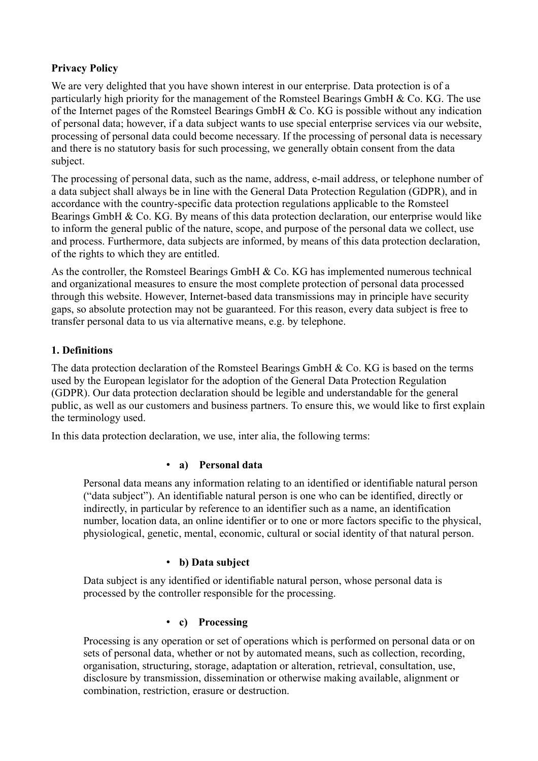# **Privacy Policy**

We are very delighted that you have shown interest in our enterprise. Data protection is of a particularly high priority for the management of the Romsteel Bearings GmbH & Co. KG. The use of the Internet pages of the Romsteel Bearings GmbH & Co. KG is possible without any indication of personal data; however, if a data subject wants to use special enterprise services via our website, processing of personal data could become necessary. If the processing of personal data is necessary and there is no statutory basis for such processing, we generally obtain consent from the data subject.

The processing of personal data, such as the name, address, e-mail address, or telephone number of a data subject shall always be in line with the General Data Protection Regulation (GDPR), and in accordance with the country-specific data protection regulations applicable to the Romsteel Bearings GmbH & Co. KG. By means of this data protection declaration, our enterprise would like to inform the general public of the nature, scope, and purpose of the personal data we collect, use and process. Furthermore, data subjects are informed, by means of this data protection declaration, of the rights to which they are entitled.

As the controller, the Romsteel Bearings GmbH & Co. KG has implemented numerous technical and organizational measures to ensure the most complete protection of personal data processed through this website. However, Internet-based data transmissions may in principle have security gaps, so absolute protection may not be guaranteed. For this reason, every data subject is free to transfer personal data to us via alternative means, e.g. by telephone.

# **1. Definitions**

The data protection declaration of the Romsteel Bearings GmbH & Co. KG is based on the terms used by the European legislator for the adoption of the General Data Protection Regulation (GDPR). Our data protection declaration should be legible and understandable for the general public, as well as our customers and business partners. To ensure this, we would like to first explain the terminology used.

In this data protection declaration, we use, inter alia, the following terms:

### • **a) Personal data**

Personal data means any information relating to an identified or identifiable natural person ("data subject"). An identifiable natural person is one who can be identified, directly or indirectly, in particular by reference to an identifier such as a name, an identification number, location data, an online identifier or to one or more factors specific to the physical, physiological, genetic, mental, economic, cultural or social identity of that natural person.

### • **b) Data subject**

Data subject is any identified or identifiable natural person, whose personal data is processed by the controller responsible for the processing.

# • **c) Processing**

Processing is any operation or set of operations which is performed on personal data or on sets of personal data, whether or not by automated means, such as collection, recording, organisation, structuring, storage, adaptation or alteration, retrieval, consultation, use, disclosure by transmission, dissemination or otherwise making available, alignment or combination, restriction, erasure or destruction.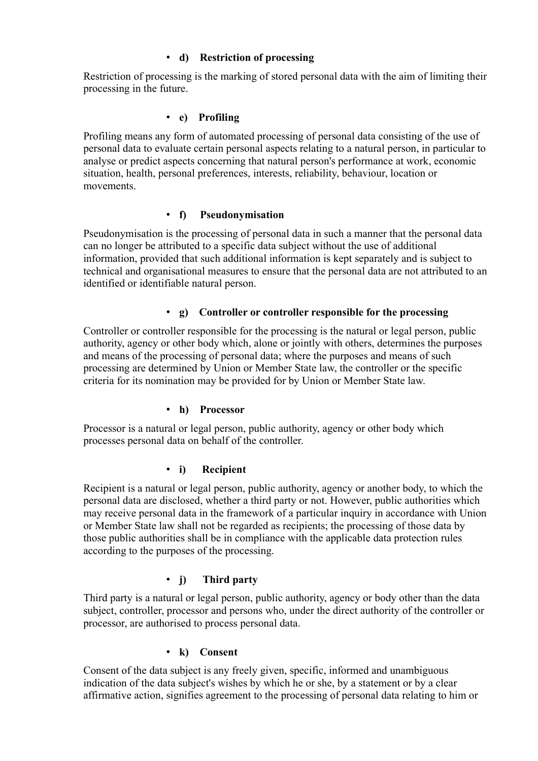#### • **d) Restriction of processing**

Restriction of processing is the marking of stored personal data with the aim of limiting their processing in the future.

### • **e) Profiling**

Profiling means any form of automated processing of personal data consisting of the use of personal data to evaluate certain personal aspects relating to a natural person, in particular to analyse or predict aspects concerning that natural person's performance at work, economic situation, health, personal preferences, interests, reliability, behaviour, location or movements.

### • **f) Pseudonymisation**

Pseudonymisation is the processing of personal data in such a manner that the personal data can no longer be attributed to a specific data subject without the use of additional information, provided that such additional information is kept separately and is subject to technical and organisational measures to ensure that the personal data are not attributed to an identified or identifiable natural person.

### • **g) Controller or controller responsible for the processing**

Controller or controller responsible for the processing is the natural or legal person, public authority, agency or other body which, alone or jointly with others, determines the purposes and means of the processing of personal data; where the purposes and means of such processing are determined by Union or Member State law, the controller or the specific criteria for its nomination may be provided for by Union or Member State law.

#### • **h) Processor**

Processor is a natural or legal person, public authority, agency or other body which processes personal data on behalf of the controller.

### • **i) Recipient**

Recipient is a natural or legal person, public authority, agency or another body, to which the personal data are disclosed, whether a third party or not. However, public authorities which may receive personal data in the framework of a particular inquiry in accordance with Union or Member State law shall not be regarded as recipients; the processing of those data by those public authorities shall be in compliance with the applicable data protection rules according to the purposes of the processing.

### • **j) Third party**

Third party is a natural or legal person, public authority, agency or body other than the data subject, controller, processor and persons who, under the direct authority of the controller or processor, are authorised to process personal data.

#### • **k) Consent**

Consent of the data subject is any freely given, specific, informed and unambiguous indication of the data subject's wishes by which he or she, by a statement or by a clear affirmative action, signifies agreement to the processing of personal data relating to him or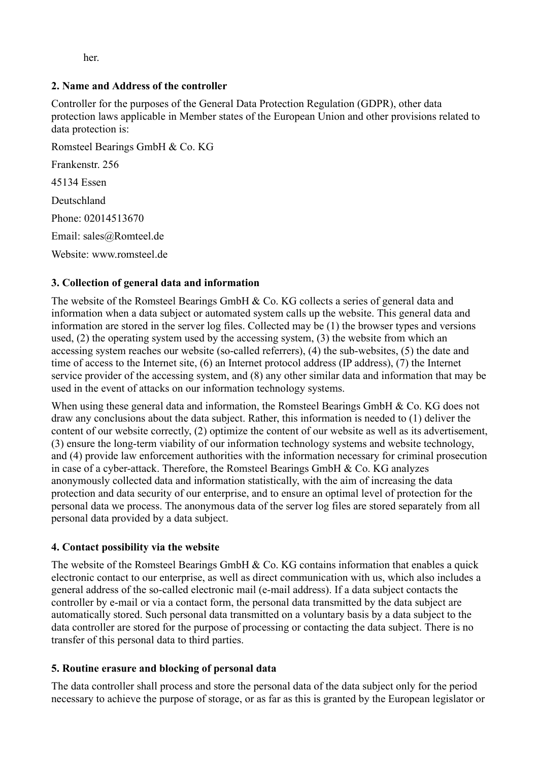her.

### **2. Name and Address of the controller**

Controller for the purposes of the General Data Protection Regulation (GDPR), other data protection laws applicable in Member states of the European Union and other provisions related to data protection is:

Romsteel Bearings GmbH & Co. KG Frankenstr. 256 45134 Essen Deutschland Phone: 02014513670 Email: sales@Romteel.de Website: www.romsteel.de

# **3. Collection of general data and information**

The website of the Romsteel Bearings GmbH & Co. KG collects a series of general data and information when a data subject or automated system calls up the website. This general data and information are stored in the server log files. Collected may be (1) the browser types and versions used, (2) the operating system used by the accessing system, (3) the website from which an accessing system reaches our website (so-called referrers), (4) the sub-websites, (5) the date and time of access to the Internet site, (6) an Internet protocol address (IP address), (7) the Internet service provider of the accessing system, and (8) any other similar data and information that may be used in the event of attacks on our information technology systems.

When using these general data and information, the Romsteel Bearings GmbH & Co. KG does not draw any conclusions about the data subject. Rather, this information is needed to (1) deliver the content of our website correctly, (2) optimize the content of our website as well as its advertisement, (3) ensure the long-term viability of our information technology systems and website technology, and (4) provide law enforcement authorities with the information necessary for criminal prosecution in case of a cyber-attack. Therefore, the Romsteel Bearings GmbH & Co. KG analyzes anonymously collected data and information statistically, with the aim of increasing the data protection and data security of our enterprise, and to ensure an optimal level of protection for the personal data we process. The anonymous data of the server log files are stored separately from all personal data provided by a data subject.

### **4. Contact possibility via the website**

The website of the Romsteel Bearings GmbH & Co. KG contains information that enables a quick electronic contact to our enterprise, as well as direct communication with us, which also includes a general address of the so-called electronic mail (e-mail address). If a data subject contacts the controller by e-mail or via a contact form, the personal data transmitted by the data subject are automatically stored. Such personal data transmitted on a voluntary basis by a data subject to the data controller are stored for the purpose of processing or contacting the data subject. There is no transfer of this personal data to third parties.

### **5. Routine erasure and blocking of personal data**

The data controller shall process and store the personal data of the data subject only for the period necessary to achieve the purpose of storage, or as far as this is granted by the European legislator or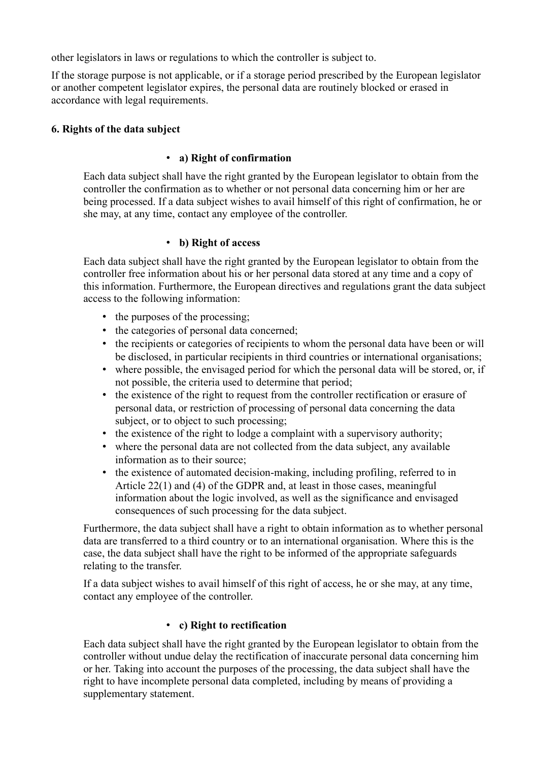other legislators in laws or regulations to which the controller is subject to.

If the storage purpose is not applicable, or if a storage period prescribed by the European legislator or another competent legislator expires, the personal data are routinely blocked or erased in accordance with legal requirements.

### **6. Rights of the data subject**

#### • **a) Right of confirmation**

Each data subject shall have the right granted by the European legislator to obtain from the controller the confirmation as to whether or not personal data concerning him or her are being processed. If a data subject wishes to avail himself of this right of confirmation, he or she may, at any time, contact any employee of the controller.

### • **b) Right of access**

Each data subject shall have the right granted by the European legislator to obtain from the controller free information about his or her personal data stored at any time and a copy of this information. Furthermore, the European directives and regulations grant the data subject access to the following information:

- the purposes of the processing;
- the categories of personal data concerned;
- the recipients or categories of recipients to whom the personal data have been or will be disclosed, in particular recipients in third countries or international organisations;
- where possible, the envisaged period for which the personal data will be stored, or, if not possible, the criteria used to determine that period;
- the existence of the right to request from the controller rectification or erasure of personal data, or restriction of processing of personal data concerning the data subject, or to object to such processing;
- the existence of the right to lodge a complaint with a supervisory authority;
- where the personal data are not collected from the data subject, any available information as to their source;
- the existence of automated decision-making, including profiling, referred to in Article 22(1) and (4) of the GDPR and, at least in those cases, meaningful information about the logic involved, as well as the significance and envisaged consequences of such processing for the data subject.

Furthermore, the data subject shall have a right to obtain information as to whether personal data are transferred to a third country or to an international organisation. Where this is the case, the data subject shall have the right to be informed of the appropriate safeguards relating to the transfer.

If a data subject wishes to avail himself of this right of access, he or she may, at any time, contact any employee of the controller.

### • **c) Right to rectification**

Each data subject shall have the right granted by the European legislator to obtain from the controller without undue delay the rectification of inaccurate personal data concerning him or her. Taking into account the purposes of the processing, the data subject shall have the right to have incomplete personal data completed, including by means of providing a supplementary statement.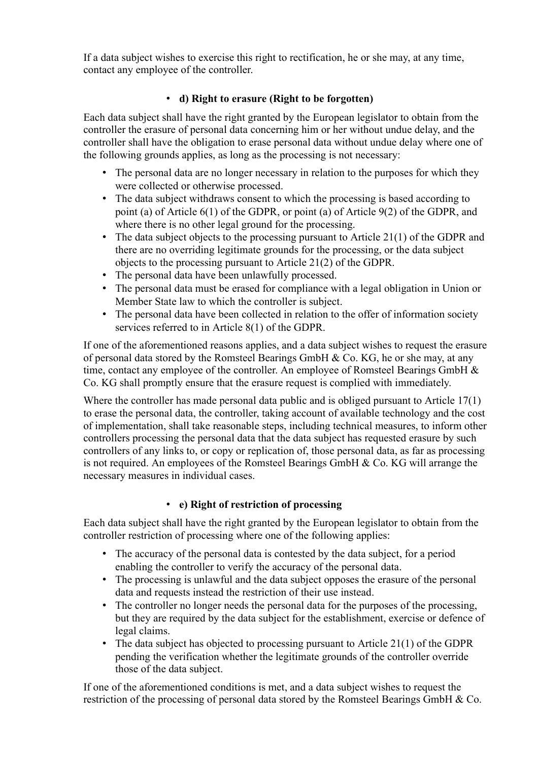If a data subject wishes to exercise this right to rectification, he or she may, at any time, contact any employee of the controller.

# • **d) Right to erasure (Right to be forgotten)**

Each data subject shall have the right granted by the European legislator to obtain from the controller the erasure of personal data concerning him or her without undue delay, and the controller shall have the obligation to erase personal data without undue delay where one of the following grounds applies, as long as the processing is not necessary:

- The personal data are no longer necessary in relation to the purposes for which they were collected or otherwise processed.
- The data subject withdraws consent to which the processing is based according to point (a) of Article 6(1) of the GDPR, or point (a) of Article 9(2) of the GDPR, and where there is no other legal ground for the processing.
- The data subject objects to the processing pursuant to Article 21(1) of the GDPR and there are no overriding legitimate grounds for the processing, or the data subject objects to the processing pursuant to Article 21(2) of the GDPR.
- The personal data have been unlawfully processed.
- The personal data must be erased for compliance with a legal obligation in Union or Member State law to which the controller is subject.
- The personal data have been collected in relation to the offer of information society services referred to in Article 8(1) of the GDPR.

If one of the aforementioned reasons applies, and a data subject wishes to request the erasure of personal data stored by the Romsteel Bearings GmbH & Co. KG, he or she may, at any time, contact any employee of the controller. An employee of Romsteel Bearings GmbH & Co. KG shall promptly ensure that the erasure request is complied with immediately.

Where the controller has made personal data public and is obliged pursuant to Article 17(1) to erase the personal data, the controller, taking account of available technology and the cost of implementation, shall take reasonable steps, including technical measures, to inform other controllers processing the personal data that the data subject has requested erasure by such controllers of any links to, or copy or replication of, those personal data, as far as processing is not required. An employees of the Romsteel Bearings GmbH & Co. KG will arrange the necessary measures in individual cases.

# • **e) Right of restriction of processing**

Each data subject shall have the right granted by the European legislator to obtain from the controller restriction of processing where one of the following applies:

- The accuracy of the personal data is contested by the data subject, for a period enabling the controller to verify the accuracy of the personal data.
- The processing is unlawful and the data subject opposes the erasure of the personal data and requests instead the restriction of their use instead.
- The controller no longer needs the personal data for the purposes of the processing, but they are required by the data subject for the establishment, exercise or defence of legal claims.
- The data subject has objected to processing pursuant to Article 21(1) of the GDPR pending the verification whether the legitimate grounds of the controller override those of the data subject.

If one of the aforementioned conditions is met, and a data subject wishes to request the restriction of the processing of personal data stored by the Romsteel Bearings GmbH & Co.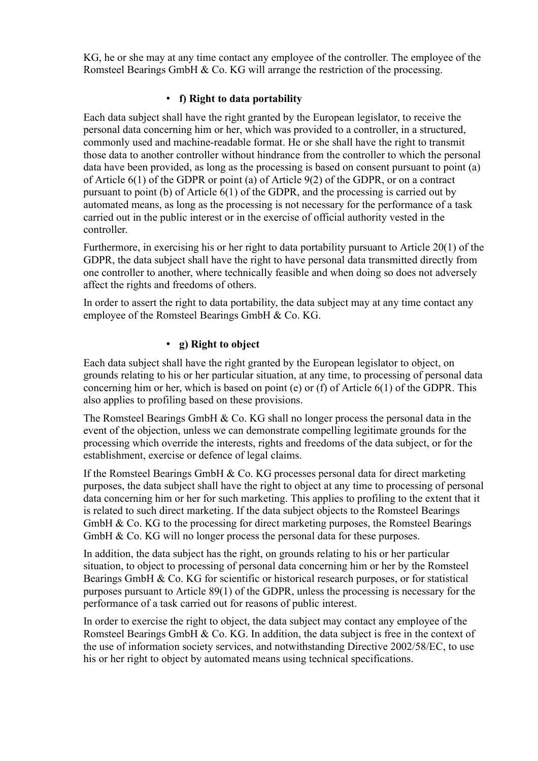KG, he or she may at any time contact any employee of the controller. The employee of the Romsteel Bearings GmbH & Co. KG will arrange the restriction of the processing.

# • **f) Right to data portability**

Each data subject shall have the right granted by the European legislator, to receive the personal data concerning him or her, which was provided to a controller, in a structured, commonly used and machine-readable format. He or she shall have the right to transmit those data to another controller without hindrance from the controller to which the personal data have been provided, as long as the processing is based on consent pursuant to point (a) of Article 6(1) of the GDPR or point (a) of Article 9(2) of the GDPR, or on a contract pursuant to point (b) of Article 6(1) of the GDPR, and the processing is carried out by automated means, as long as the processing is not necessary for the performance of a task carried out in the public interest or in the exercise of official authority vested in the controller.

Furthermore, in exercising his or her right to data portability pursuant to Article 20(1) of the GDPR, the data subject shall have the right to have personal data transmitted directly from one controller to another, where technically feasible and when doing so does not adversely affect the rights and freedoms of others.

In order to assert the right to data portability, the data subject may at any time contact any employee of the Romsteel Bearings GmbH & Co. KG.

# • **g) Right to object**

Each data subject shall have the right granted by the European legislator to object, on grounds relating to his or her particular situation, at any time, to processing of personal data concerning him or her, which is based on point (e) or (f) of Article 6(1) of the GDPR. This also applies to profiling based on these provisions.

The Romsteel Bearings GmbH & Co. KG shall no longer process the personal data in the event of the objection, unless we can demonstrate compelling legitimate grounds for the processing which override the interests, rights and freedoms of the data subject, or for the establishment, exercise or defence of legal claims.

If the Romsteel Bearings GmbH  $& Co.$  KG processes personal data for direct marketing purposes, the data subject shall have the right to object at any time to processing of personal data concerning him or her for such marketing. This applies to profiling to the extent that it is related to such direct marketing. If the data subject objects to the Romsteel Bearings GmbH & Co. KG to the processing for direct marketing purposes, the Romsteel Bearings GmbH & Co. KG will no longer process the personal data for these purposes.

In addition, the data subject has the right, on grounds relating to his or her particular situation, to object to processing of personal data concerning him or her by the Romsteel Bearings GmbH & Co. KG for scientific or historical research purposes, or for statistical purposes pursuant to Article 89(1) of the GDPR, unless the processing is necessary for the performance of a task carried out for reasons of public interest.

In order to exercise the right to object, the data subject may contact any employee of the Romsteel Bearings GmbH & Co. KG. In addition, the data subject is free in the context of the use of information society services, and notwithstanding Directive 2002/58/EC, to use his or her right to object by automated means using technical specifications.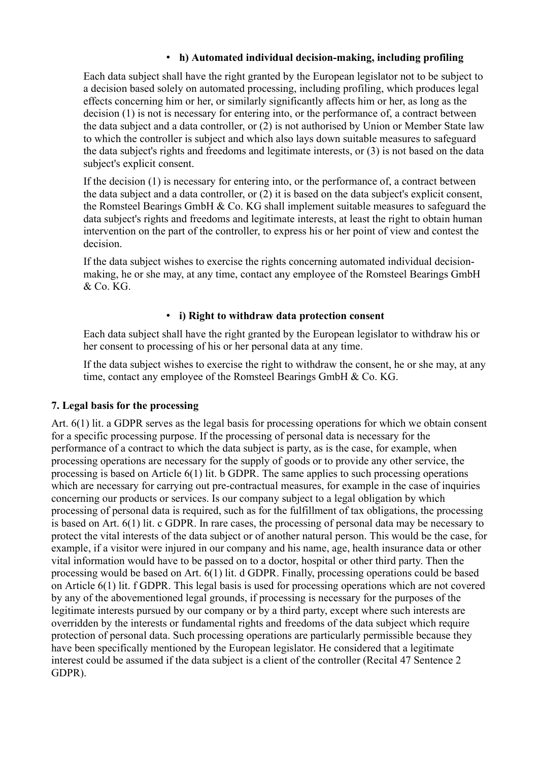# • **h) Automated individual decision-making, including profiling**

Each data subject shall have the right granted by the European legislator not to be subject to a decision based solely on automated processing, including profiling, which produces legal effects concerning him or her, or similarly significantly affects him or her, as long as the decision (1) is not is necessary for entering into, or the performance of, a contract between the data subject and a data controller, or (2) is not authorised by Union or Member State law to which the controller is subject and which also lays down suitable measures to safeguard the data subject's rights and freedoms and legitimate interests, or (3) is not based on the data subject's explicit consent.

If the decision (1) is necessary for entering into, or the performance of, a contract between the data subject and a data controller, or (2) it is based on the data subject's explicit consent, the Romsteel Bearings GmbH & Co. KG shall implement suitable measures to safeguard the data subject's rights and freedoms and legitimate interests, at least the right to obtain human intervention on the part of the controller, to express his or her point of view and contest the decision.

If the data subject wishes to exercise the rights concerning automated individual decisionmaking, he or she may, at any time, contact any employee of the Romsteel Bearings GmbH & Co. KG.

# • **i) Right to withdraw data protection consent**

Each data subject shall have the right granted by the European legislator to withdraw his or her consent to processing of his or her personal data at any time.

If the data subject wishes to exercise the right to withdraw the consent, he or she may, at any time, contact any employee of the Romsteel Bearings GmbH & Co. KG.

### **7. Legal basis for the processing**

Art. 6(1) lit. a GDPR serves as the legal basis for processing operations for which we obtain consent for a specific processing purpose. If the processing of personal data is necessary for the performance of a contract to which the data subject is party, as is the case, for example, when processing operations are necessary for the supply of goods or to provide any other service, the processing is based on Article 6(1) lit. b GDPR. The same applies to such processing operations which are necessary for carrying out pre-contractual measures, for example in the case of inquiries concerning our products or services. Is our company subject to a legal obligation by which processing of personal data is required, such as for the fulfillment of tax obligations, the processing is based on Art. 6(1) lit. c GDPR. In rare cases, the processing of personal data may be necessary to protect the vital interests of the data subject or of another natural person. This would be the case, for example, if a visitor were injured in our company and his name, age, health insurance data or other vital information would have to be passed on to a doctor, hospital or other third party. Then the processing would be based on Art. 6(1) lit. d GDPR. Finally, processing operations could be based on Article 6(1) lit. f GDPR. This legal basis is used for processing operations which are not covered by any of the abovementioned legal grounds, if processing is necessary for the purposes of the legitimate interests pursued by our company or by a third party, except where such interests are overridden by the interests or fundamental rights and freedoms of the data subject which require protection of personal data. Such processing operations are particularly permissible because they have been specifically mentioned by the European legislator. He considered that a legitimate interest could be assumed if the data subject is a client of the controller (Recital 47 Sentence 2 GDPR).